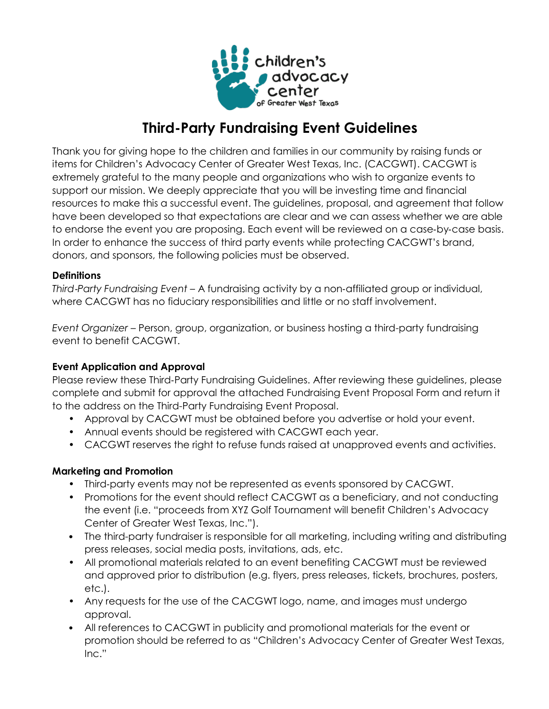

# **Third-Party Fundraising Event Guidelines**

Thank you for giving hope to the children and families in our community by raising funds or items for Children's Advocacy Center of Greater West Texas, Inc. (CACGWT). CACGWT is extremely grateful to the many people and organizations who wish to organize events to support our mission. We deeply appreciate that you will be investing time and financial resources to make this a successful event. The guidelines, proposal, and agreement that follow have been developed so that expectations are clear and we can assess whether we are able to endorse the event you are proposing. Each event will be reviewed on a case‐by‐case basis. In order to enhance the success of third party events while protecting CACGWT's brand, donors, and sponsors, the following policies must be observed.

### **Definitions**

*Third*‐*Party Fundraising Event* – A fundraising activity by a non‐affiliated group or individual, where CACGWT has no fiduciary responsibilities and little or no staff involvement.

*Event Organizer* – Person, group, organization, or business hosting a third-party fundraising event to benefit CACGWT.

# **Event Application and Approval**

Please review these Third‐Party Fundraising Guidelines. After reviewing these guidelines, please complete and submit for approval the attached Fundraising Event Proposal Form and return it to the address on the Third-Party Fundraising Event Proposal.

- Approval by CACGWT must be obtained before you advertise or hold your event.
- Annual events should be registered with CACGWT each year.
- CACGWT reserves the right to refuse funds raised at unapproved events and activities.

# **Marketing and Promotion**

- Third-party events may not be represented as events sponsored by CACGWT.
- Promotions for the event should reflect CACGWT as a beneficiary, and not conducting the event (i.e. "proceeds from XYZ Golf Tournament will benefit Children's Advocacy Center of Greater West Texas, Inc.").
- The third-party fundraiser is responsible for all marketing, including writing and distributing press releases, social media posts, invitations, ads, etc.
- All promotional materials related to an event benefiting CACGWT must be reviewed and approved prior to distribution (e.g. flyers, press releases, tickets, brochures, posters, etc.).
- Any requests for the use of the CACGWT logo, name, and images must undergo approval.
- All references to CACGWT in publicity and promotional materials for the event or promotion should be referred to as "Children's Advocacy Center of Greater West Texas, Inc."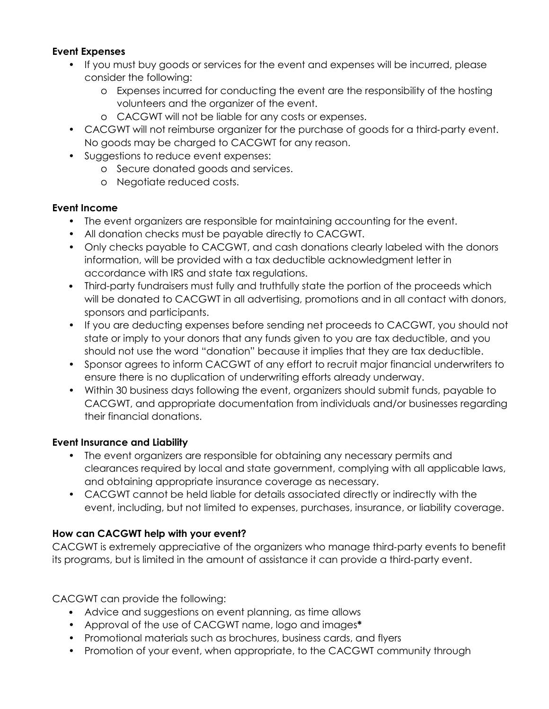## **Event Expenses**

- If you must buy goods or services for the event and expenses will be incurred, please consider the following:
	- o Expenses incurred for conducting the event are the responsibility of the hosting volunteers and the organizer of the event.
	- o CACGWT will not be liable for any costs or expenses.
- CACGWT will not reimburse organizer for the purchase of goods for a third-party event. No goods may be charged to CACGWT for any reason.
- Suggestions to reduce event expenses:
	- o Secure donated goods and services.
	- o Negotiate reduced costs.

### **Event Income**

- The event organizers are responsible for maintaining accounting for the event.
- All donation checks must be payable directly to CACGWT.
- Only checks payable to CACGWT, and cash donations clearly labeled with the donors information, will be provided with a tax deductible acknowledgment letter in accordance with IRS and state tax regulations.
- Third-party fundraisers must fully and truthfully state the portion of the proceeds which will be donated to CACGWT in all advertising, promotions and in all contact with donors, sponsors and participants.
- If you are deducting expenses before sending net proceeds to CACGWT, you should not state or imply to your donors that any funds given to you are tax deductible, and you should not use the word "donation" because it implies that they are tax deductible.
- Sponsor agrees to inform CACGWT of any effort to recruit major financial underwriters to ensure there is no duplication of underwriting efforts already underway.
- Within 30 business days following the event, organizers should submit funds, payable to CACGWT, and appropriate documentation from individuals and/or businesses regarding their financial donations.

# **Event Insurance and Liability**

- The event organizers are responsible for obtaining any necessary permits and clearances required by local and state government, complying with all applicable laws, and obtaining appropriate insurance coverage as necessary.
- CACGWT cannot be held liable for details associated directly or indirectly with the event, including, but not limited to expenses, purchases, insurance, or liability coverage.

# **How can CACGWT help with your event?**

CACGWT is extremely appreciative of the organizers who manage third‐party events to benefit its programs, but is limited in the amount of assistance it can provide a third‐party event.

CACGWT can provide the following:

- Advice and suggestions on event planning, as time allows
- Approval of the use of CACGWT name, logo and images**\***
- Promotional materials such as brochures, business cards, and flyers
- Promotion of your event, when appropriate, to the CACGWT community through